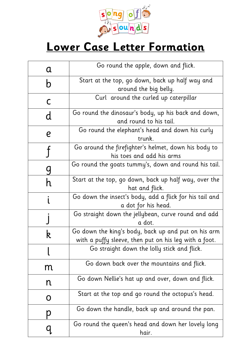

## **Lower Case Letter Formation**

| a                | Go round the apple, down and flick.                                                                          |
|------------------|--------------------------------------------------------------------------------------------------------------|
| b                | Start at the top, go down, back up half way and                                                              |
|                  | around the big belly.                                                                                        |
| C                | Curl around the curled up caterpillar                                                                        |
| d                | Go round the dinosaur's body, up his back and down,                                                          |
|                  | and round to his tail.                                                                                       |
| $\boldsymbol{e}$ | Go round the elephant's head and down his curly<br>trunk.                                                    |
|                  | Go around the firefighter's helmet, down his body to                                                         |
|                  | his toes and add his arms                                                                                    |
|                  | Go round the goats tummy's, down and round his tail.                                                         |
| h                | Start at the top, go down, back up half way, over the<br>hat and flick.                                      |
|                  | Go down the insect's body, add a flick for his tail and<br>a dot for his head.                               |
|                  | Go straight down the jellybean, curve round and add<br>a dot.                                                |
| R                | Go down the king's body, back up and put on his arm<br>with a puffy sleeve, then put on his leg with a foot. |
|                  | Go straight down the lolly stick and flick.                                                                  |
| m                | Go down back over the mountains and flick.                                                                   |
| n                | Go down Nellie's hat up and over, down and flick.                                                            |
| Õ                | Start at the top and go round the octopus's head.                                                            |
|                  | Go down the handle, back up and around the pan.                                                              |
|                  | Go round the queen's head and down her lovely long<br>hair.                                                  |